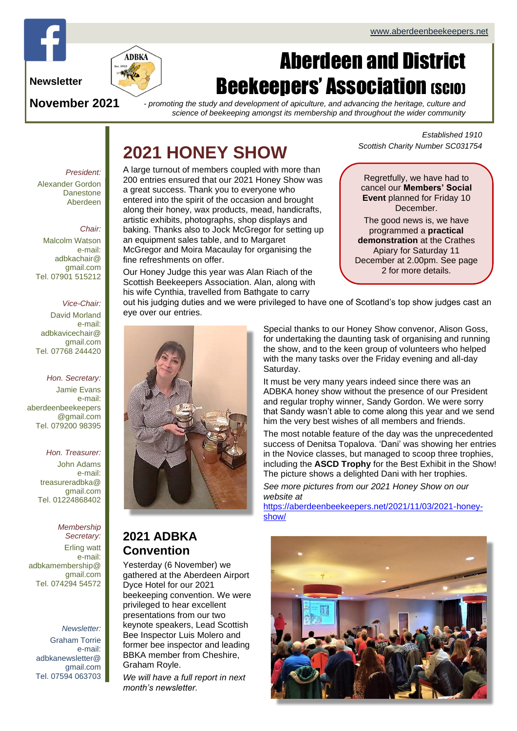

#### **Newsletter**

**November 2021**

# Aberdeen and District **Beekeepers' Association (SCIO)**

*- promoting the study and development of apiculture, and advancing the heritage, culture and science of beekeeping amongst its membership and throughout the wider community*

# **2021 HONEY SHOW**

*President:* Alexander Gordon **Danestone** Aberdeen

#### *Chair:*

Malcolm Watson e-mail: adbkachair@ gmail.com Tel. 07901 515212

#### *Vice-Chair:*

David Morland e-mail: adbkavicechair@ gmail.com Tel. 07768 244420

*Hon. Secretary:* Jamie Evans e-mail: [aberdeenbeekeepers](mailto:aberdeenbeekeepers@gmail.com) [@gmail.com](mailto:aberdeenbeekeepers@gmail.com) Tel. 079200 98395

#### *Hon. Treasurer:*

John Adams e-mail: treasureradbka@ gmail.com Tel. 01224868402

#### *Membership Secretary:*

Erling watt e-mail: adbkamembership@ gmail.com Tel. 074294 54572

*Newsletter:* Graham Torrie e-mail: adbkanewsletter@ gmail.com Tel. 07594 063703 A large turnout of members coupled with more than 200 entries ensured that our 2021 Honey Show was a great success. Thank you to everyone who entered into the spirit of the occasion and brought along their honey, wax products, mead, handicrafts, artistic exhibits, photographs, shop displays and baking. Thanks also to Jock McGregor for setting up an equipment sales table, and to Margaret McGregor and Moira Macaulay for organising the fine refreshments on offer.

Our Honey Judge this year was Alan Riach of the Scottish Beekeepers Association. Alan, along with his wife Cynthia, travelled from Bathgate to carry

*Established 1910 Scottish Charity Number SC031754*

Regretfully, we have had to cancel our **Members' Social Event** planned for Friday 10 **December** 

The good news is, we have programmed a **practical demonstration** at the Crathes Apiary for Saturday 11 December at 2.00pm. See page 2 for more details.

out his judging duties and we were privileged to have one of Scotland's top show judges cast an eye over our entries.



**2021 ADBKA Convention**

Yesterday (6 November) we gathered at the Aberdeen Airport Dyce Hotel for our 2021 beekeeping convention. We were privileged to hear excellent presentations from our two keynote speakers, Lead Scottish Bee Inspector Luis Molero and former bee inspector and leading BBKA member from Cheshire, Graham Royle.

*We will have a full report in next month's newsletter.* 

Special thanks to our Honey Show convenor, Alison Goss, for undertaking the daunting task of organising and running the show, and to the keen group of volunteers who helped with the many tasks over the Friday evening and all-day Saturday.

It must be very many years indeed since there was an ADBKA honey show without the presence of our President and regular trophy winner, Sandy Gordon. We were sorry that Sandy wasn't able to come along this year and we send him the very best wishes of all members and friends.

The most notable feature of the day was the unprecedented success of Denitsa Topalova. 'Dani' was showing her entries in the Novice classes, but managed to scoop three trophies, including the **ASCD Trophy** for the Best Exhibit in the Show! The picture shows a delighted Dani with her trophies.

*See more pictures from our 2021 Honey Show on our website at*

[https://aberdeenbeekeepers.net/2021/11/03/2021-honey](https://aberdeenbeekeepers.net/2021/11/03/2021-honey-show/)[show/](https://aberdeenbeekeepers.net/2021/11/03/2021-honey-show/)

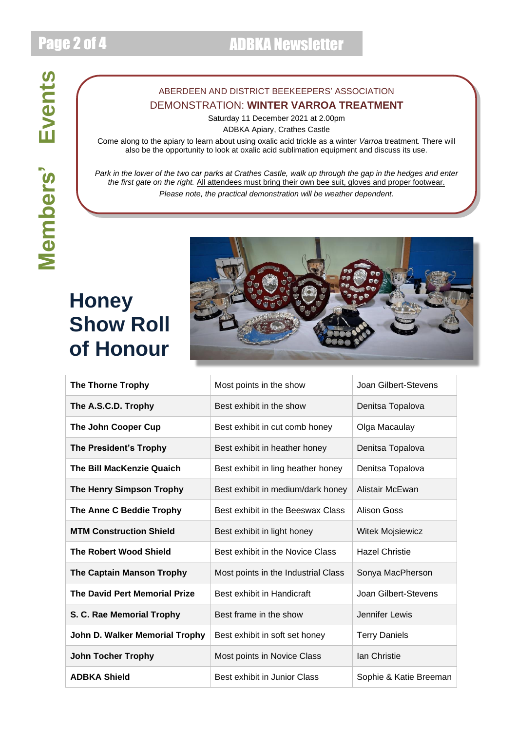**Members' Events**

Members' Events

#### ABERDEEN AND DISTRICT BEEKEEPERS' ASSOCIATION DEMONSTRATION: **WINTER VARROA TREATMENT**

Saturday 11 December 2021 at 2.00pm

ADBKA Apiary, Crathes Castle

Come along to the apiary to learn about using oxalic acid trickle as a winter *Varroa* treatment. There will also be the opportunity to look at oxalic acid sublimation equipment and discuss its use.

*Park in the lower of the two car parks at Crathes Castle, walk up through the gap in the hedges and enter the first gate on the right.* All attendees must bring their own bee suit, gloves and proper footwear. *Please note, the practical demonstration will be weather dependent.*

# **Honey Show Roll of Honour**



| <b>The Thorne Trophy</b>             | Most points in the show             | Joan Gilbert-Stevens    |
|--------------------------------------|-------------------------------------|-------------------------|
| The A.S.C.D. Trophy                  | Best exhibit in the show            | Denitsa Topalova        |
| The John Cooper Cup                  | Best exhibit in cut comb honey      | Olga Macaulay           |
| <b>The President's Trophy</b>        | Best exhibit in heather honey       | Denitsa Topalova        |
| <b>The Bill MacKenzie Quaich</b>     | Best exhibit in ling heather honey  | Denitsa Topalova        |
| <b>The Henry Simpson Trophy</b>      | Best exhibit in medium/dark honey   | Alistair McEwan         |
| The Anne C Beddie Trophy             | Best exhibit in the Beeswax Class   | Alison Goss             |
| <b>MTM Construction Shield</b>       | Best exhibit in light honey         | <b>Witek Mojsiewicz</b> |
| <b>The Robert Wood Shield</b>        | Best exhibit in the Novice Class    | <b>Hazel Christie</b>   |
| <b>The Captain Manson Trophy</b>     | Most points in the Industrial Class | Sonya MacPherson        |
| <b>The David Pert Memorial Prize</b> | Best exhibit in Handicraft          | Joan Gilbert-Stevens    |
| S. C. Rae Memorial Trophy            | Best frame in the show              | Jennifer Lewis          |
| John D. Walker Memorial Trophy       | Best exhibit in soft set honey      | <b>Terry Daniels</b>    |
| <b>John Tocher Trophy</b>            | Most points in Novice Class         | <b>lan Christie</b>     |
| <b>ADBKA Shield</b>                  | Best exhibit in Junior Class        | Sophie & Katie Breeman  |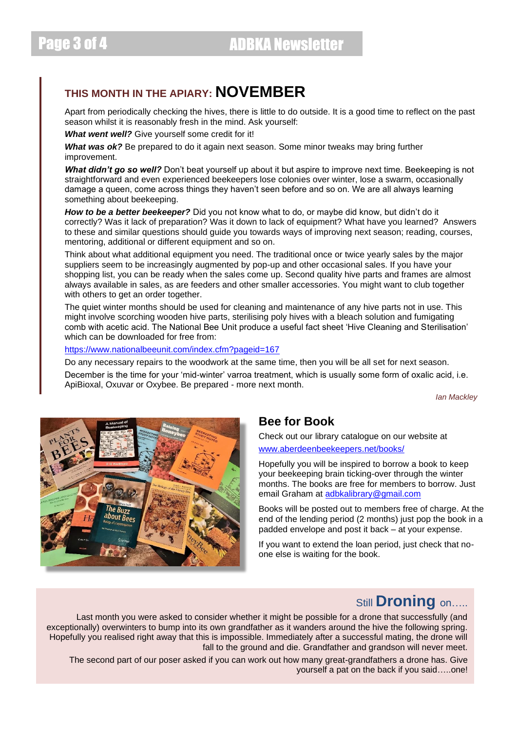## **THIS MONTH IN THE APIARY: NOVEMBER**

Apart from periodically checking the hives, there is little to do outside. It is a good time to reflect on the past season whilst it is reasonably fresh in the mind. Ask yourself:

**What went well?** Give yourself some credit for it!

*What was ok?* Be prepared to do it again next season. Some minor tweaks may bring further improvement.

What didn't go so well? Don't beat yourself up about it but aspire to improve next time. Beekeeping is not straightforward and even experienced beekeepers lose colonies over winter, lose a swarm, occasionally damage a queen, come across things they haven't seen before and so on. We are all always learning something about beekeeping.

*How to be a better beekeeper?* Did you not know what to do, or maybe did know, but didn't do it correctly? Was it lack of preparation? Was it down to lack of equipment? What have you learned? Answers to these and similar questions should guide you towards ways of improving next season; reading, courses, mentoring, additional or different equipment and so on.

Think about what additional equipment you need. The traditional once or twice yearly sales by the major suppliers seem to be increasingly augmented by pop-up and other occasional sales. If you have your shopping list, you can be ready when the sales come up. Second quality hive parts and frames are almost always available in sales, as are feeders and other smaller accessories. You might want to club together with others to get an order together.

The quiet winter months should be used for cleaning and maintenance of any hive parts not in use. This might involve scorching wooden hive parts, sterilising poly hives with a bleach solution and fumigating comb with acetic acid. The National Bee Unit produce a useful fact sheet 'Hive Cleaning and Sterilisation' which can be downloaded for free from:

<https://www.nationalbeeunit.com/index.cfm?pageid=167>

Do any necessary repairs to the woodwork at the same time, then you will be all set for next season. December is the time for your 'mid-winter' varroa treatment, which is usually some form of oxalic acid, i.e. ApiBioxal, Oxuvar or Oxybee. Be prepared - more next month.

*Ian Mackley*



### **Bee for Book**

Check out our library catalogue on our website at [www.aberdeenbeekeepers.net/books/](http://www.aberdeenbeekeepers.net/books/)

Hopefully you will be inspired to borrow a book to keep your beekeeping brain ticking-over through the winter months. The books are free for members to borrow. Just email Graham at [adbkalibrary@gmail.com](mailto:adbkalibrary@gmail.com)

Books will be posted out to members free of charge. At the end of the lending period (2 months) just pop the book in a padded envelope and post it back – at your expense.

If you want to extend the loan period, just check that noone else is waiting for the book.

## Still **Droning** on…..

Last month you were asked to consider whether it might be possible for a drone that successfully (and exceptionally) overwinters to bump into its own grandfather as it wanders around the hive the following spring. Hopefully you realised right away that this is impossible. Immediately after a successful mating, the drone will fall to the ground and die. Grandfather and grandson will never meet.

The second part of our poser asked if you can work out how many great-grandfathers a drone has. Give yourself a pat on the back if you said…..one!